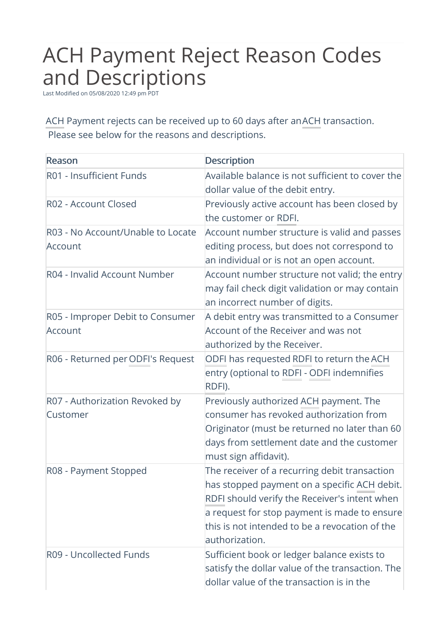## ACH Payment Reject Reason Codes and Descriptions

Last Modified on 05/08/2020 12:49 pm PDT

ACH Payment rejects can be received up to 60 days after anACH transaction. Please see below for the reasons and descriptions.

| Reason                            | <b>Description</b>                               |
|-----------------------------------|--------------------------------------------------|
| R01 - Insufficient Funds          | Available balance is not sufficient to cover the |
|                                   | dollar value of the debit entry.                 |
| R02 - Account Closed              | Previously active account has been closed by     |
|                                   | the customer or RDFI.                            |
| R03 - No Account/Unable to Locate | Account number structure is valid and passes     |
| Account                           | editing process, but does not correspond to      |
|                                   | an individual or is not an open account.         |
| R04 - Invalid Account Number      | Account number structure not valid; the entry    |
|                                   | may fail check digit validation or may contain   |
|                                   | an incorrect number of digits.                   |
| R05 - Improper Debit to Consumer  | A debit entry was transmitted to a Consumer      |
| Account                           | Account of the Receiver and was not              |
|                                   | authorized by the Receiver.                      |
| R06 - Returned per ODFI's Request | ODFI has requested RDFI to return the ACH        |
|                                   | entry (optional to RDFI - ODFI indemnifies       |
|                                   | RDFI).                                           |
| R07 - Authorization Revoked by    | Previously authorized ACH payment. The           |
| Customer                          | consumer has revoked authorization from          |
|                                   | Originator (must be returned no later than 60    |
|                                   | days from settlement date and the customer       |
|                                   | must sign affidavit).                            |
| R08 - Payment Stopped             | The receiver of a recurring debit transaction    |
|                                   | has stopped payment on a specific ACH debit.     |
|                                   | RDFI should verify the Receiver's intent when    |
|                                   | a request for stop payment is made to ensure     |
|                                   | this is not intended to be a revocation of the   |
|                                   | authorization.                                   |
| R09 - Uncollected Funds           | Sufficient book or ledger balance exists to      |
|                                   | satisfy the dollar value of the transaction. The |
|                                   | dollar value of the transaction is in the        |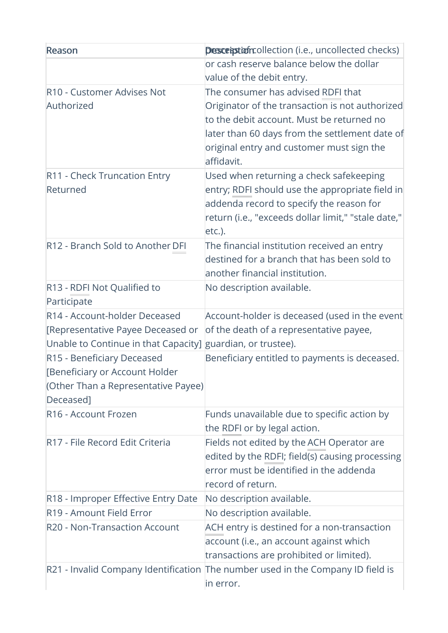| Reason                                                                                                                            | <b>Description</b> collection (i.e., uncollected checks)                                                                                                                                                                                        |
|-----------------------------------------------------------------------------------------------------------------------------------|-------------------------------------------------------------------------------------------------------------------------------------------------------------------------------------------------------------------------------------------------|
|                                                                                                                                   | or cash reserve balance below the dollar<br>value of the debit entry.                                                                                                                                                                           |
| R10 - Customer Advises Not<br>Authorized                                                                                          | The consumer has advised RDFI that<br>Originator of the transaction is not authorized<br>to the debit account. Must be returned no<br>later than 60 days from the settlement date of<br>original entry and customer must sign the<br>affidavit. |
| R11 - Check Truncation Entry<br>Returned                                                                                          | Used when returning a check safekeeping<br>entry; RDFI should use the appropriate field in<br>addenda record to specify the reason for<br>return (i.e., "exceeds dollar limit," "stale date,"<br>etc.).                                         |
| R12 - Branch Sold to Another DFI                                                                                                  | The financial institution received an entry<br>destined for a branch that has been sold to<br>another financial institution.                                                                                                                    |
| R13 - RDFI Not Qualified to<br>Participate                                                                                        | No description available.                                                                                                                                                                                                                       |
| R14 - Account-holder Deceased<br>[Representative Payee Deceased or<br>Unable to Continue in that Capacity] guardian, or trustee). | Account-holder is deceased (used in the event<br>of the death of a representative payee,                                                                                                                                                        |
| R15 - Beneficiary Deceased<br>[Beneficiary or Account Holder<br>(Other Than a Representative Payee)<br>Deceased]                  | Beneficiary entitled to payments is deceased.                                                                                                                                                                                                   |
| R16 - Account Frozen                                                                                                              | Funds unavailable due to specific action by<br>the RDFI or by legal action.                                                                                                                                                                     |
| R17 - File Record Edit Criteria                                                                                                   | Fields not edited by the ACH Operator are<br>edited by the RDFI; field(s) causing processing<br>error must be identified in the addenda<br>record of return.                                                                                    |
| R18 - Improper Effective Entry Date                                                                                               | No description available.                                                                                                                                                                                                                       |
| R19 - Amount Field Error                                                                                                          | No description available.                                                                                                                                                                                                                       |
| R20 - Non-Transaction Account                                                                                                     | ACH entry is destined for a non-transaction<br>account (i.e., an account against which<br>transactions are prohibited or limited).                                                                                                              |
|                                                                                                                                   | R21 - Invalid Company Identification The number used in the Company ID field is<br>in error.                                                                                                                                                    |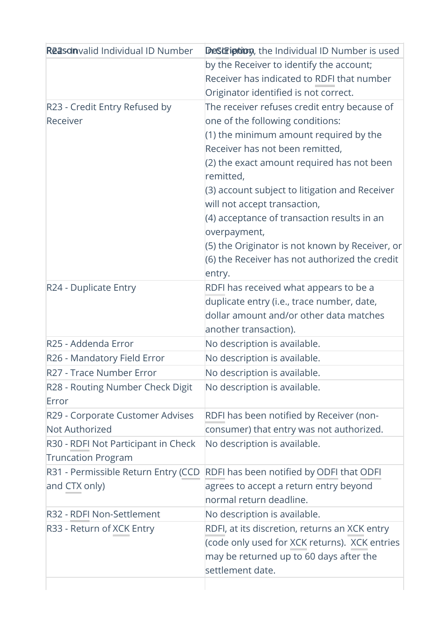| <b>Reason</b> valid Individual ID Number  | Description, the Individual ID Number is used               |
|-------------------------------------------|-------------------------------------------------------------|
|                                           | by the Receiver to identify the account;                    |
|                                           | Receiver has indicated to RDFI that number                  |
|                                           | Originator identified is not correct.                       |
| R23 - Credit Entry Refused by             | The receiver refuses credit entry because of                |
| Receiver                                  | one of the following conditions:                            |
|                                           | (1) the minimum amount required by the                      |
|                                           | Receiver has not been remitted,                             |
|                                           | (2) the exact amount required has not been<br>remitted,     |
|                                           | (3) account subject to litigation and Receiver              |
|                                           | will not accept transaction,                                |
|                                           | (4) acceptance of transaction results in an<br>overpayment, |
|                                           | (5) the Originator is not known by Receiver, or             |
|                                           | (6) the Receiver has not authorized the credit              |
|                                           | entry.                                                      |
| R24 - Duplicate Entry                     | RDFI has received what appears to be a                      |
|                                           | duplicate entry (i.e., trace number, date,                  |
|                                           | dollar amount and/or other data matches                     |
|                                           | another transaction).                                       |
| R25 - Addenda Error                       | No description is available.                                |
| R26 - Mandatory Field Error               | No description is available.                                |
| R27 - Trace Number Error                  | No description is available.                                |
| R28 - Routing Number Check Digit<br>Error | No description is available.                                |
| R29 - Corporate Customer Advises          | RDFI has been notified by Receiver (non-                    |
| Not Authorized                            | consumer) that entry was not authorized.                    |
| R30 - RDFI Not Participant in Check       | No description is available.                                |
| <b>Truncation Program</b>                 |                                                             |
| R31 - Permissible Return Entry (CCD       | RDFI has been notified by ODFI that ODFI                    |
| and CTX only)                             | agrees to accept a return entry beyond                      |
|                                           | normal return deadline.                                     |
| R32 - RDFI Non-Settlement                 | No description is available.                                |
| R33 - Return of XCK Entry                 | RDFI, at its discretion, returns an XCK entry               |
|                                           | (code only used for XCK returns). XCK entries               |
|                                           | may be returned up to 60 days after the                     |
|                                           | settlement date.                                            |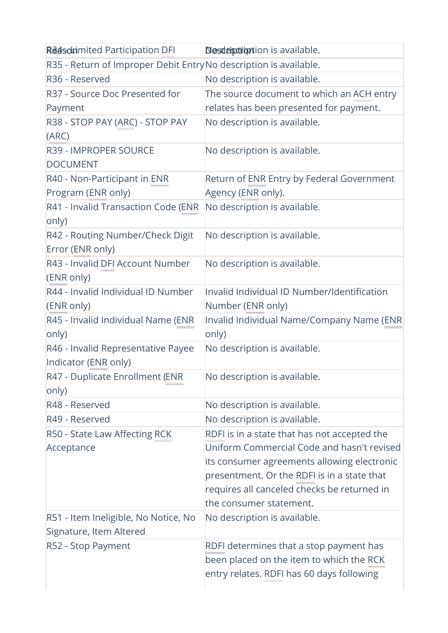| <b>Reason</b> imited Participation DFI                           | <b>Nesdeptrion</b> tion is available.              |
|------------------------------------------------------------------|----------------------------------------------------|
| R35 - Return of Improper Debit EntryNo description is available. |                                                    |
| R36 - Reserved                                                   | No description is available.                       |
| R37 - Source Doc Presented for                                   | The source document to which an ACH entry          |
| Payment                                                          | relates has been presented for payment.            |
| R38 - STOP PAY (ARC) - STOP PAY<br>(ARC)                         | No description is available.                       |
| <b>R39 - IMPROPER SOURCE</b><br><b>DOCUMENT</b>                  | No description is available.                       |
| R40 - Non-Participant in ENR                                     | Return of ENR Entry by Federal Government          |
| Program (ENR only)                                               | Agency (ENR only).                                 |
| R41 - Invalid Transaction Code (ENR<br>only)                     | No description is available.                       |
| R42 - Routing Number/Check Digit<br>Error (ENR only)             | No description is available.                       |
| R43 - Invalid DFI Account Number<br>(ENR only)                   | No description is available.                       |
| R44 - Invalid Individual ID Number                               | Invalid Individual ID Number/Identification        |
| (ENR only)                                                       | Number (ENR only)                                  |
| R45 - Invalid Individual Name (ENR<br>only)                      | Invalid Individual Name/Company Name (ENR<br>only) |
| R46 - Invalid Representative Payee<br>Indicator (ENR only)       | No description is available.                       |
| R47 - Duplicate Enrollment (ENR<br>only)                         | No description is available                        |
| R48 - Reserved                                                   | No description is available.                       |
| R49 - Reserved                                                   | No description is available.                       |
| R50 - State Law Affecting RCK                                    | RDFI is in a state that has not accepted the       |
| Acceptance                                                       | Uniform Commercial Code and hasn't revised         |
|                                                                  | its consumer agreements allowing electronic        |
|                                                                  | presentment. Or the RDFI is in a state that        |
|                                                                  | requires all canceled checks be returned in        |
|                                                                  | the consumer statement.                            |
| R51 - Item Ineligible, No Notice, No                             | No description is available.                       |
| Signature, Item Altered                                          |                                                    |
| R52 - Stop Payment                                               | RDFI determines that a stop payment has            |
|                                                                  | been placed on the item to which the RCK           |
|                                                                  | entry relates. RDFI has 60 days following          |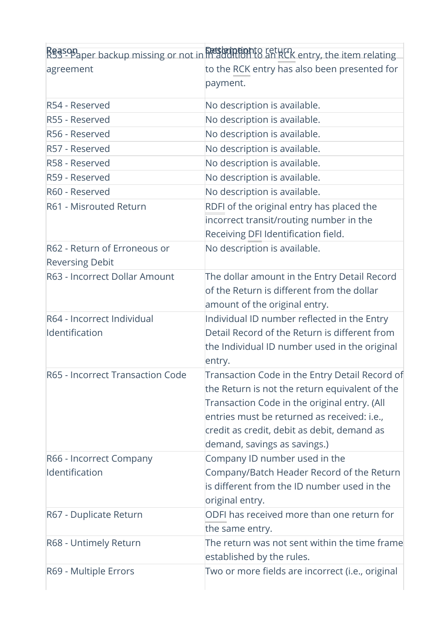|                                  | Reason aper backup missing or not in maddition to an RCK entry, the item relating |
|----------------------------------|-----------------------------------------------------------------------------------|
| agreement                        | to the RCK entry has also been presented for                                      |
|                                  | payment.                                                                          |
| R54 - Reserved                   | No description is available.                                                      |
| R55 - Reserved                   | No description is available.                                                      |
| R56 - Reserved                   | No description is available.                                                      |
| R57 - Reserved                   | No description is available.                                                      |
| R58 - Reserved                   | No description is available.                                                      |
| R59 - Reserved                   | No description is available.                                                      |
| R60 - Reserved                   | No description is available.                                                      |
| R61 - Misrouted Return           | RDFI of the original entry has placed the                                         |
|                                  | incorrect transit/routing number in the                                           |
|                                  | Receiving DFI Identification field.                                               |
| R62 - Return of Erroneous or     | No description is available.                                                      |
| <b>Reversing Debit</b>           |                                                                                   |
| R63 - Incorrect Dollar Amount    | The dollar amount in the Entry Detail Record                                      |
|                                  | of the Return is different from the dollar                                        |
|                                  | amount of the original entry.                                                     |
| R64 - Incorrect Individual       | Individual ID number reflected in the Entry                                       |
| Identification                   | Detail Record of the Return is different from                                     |
|                                  | the Individual ID number used in the original                                     |
|                                  | entry.                                                                            |
| R65 - Incorrect Transaction Code | Transaction Code in the Entry Detail Record of                                    |
|                                  | the Return is not the return equivalent of the                                    |
|                                  | Transaction Code in the original entry. (All                                      |
|                                  | entries must be returned as received: i.e.,                                       |
|                                  | credit as credit, debit as debit, demand as                                       |
|                                  | demand, savings as savings.)                                                      |
| R66 - Incorrect Company          | Company ID number used in the                                                     |
| Identification                   | Company/Batch Header Record of the Return                                         |
|                                  | is different from the ID number used in the                                       |
|                                  | original entry.                                                                   |
| R67 - Duplicate Return           | ODFI has received more than one return for                                        |
|                                  | the same entry.                                                                   |
| R68 - Untimely Return            | The return was not sent within the time frame                                     |
|                                  | established by the rules.                                                         |
| R69 - Multiple Errors            | Two or more fields are incorrect (i.e., original                                  |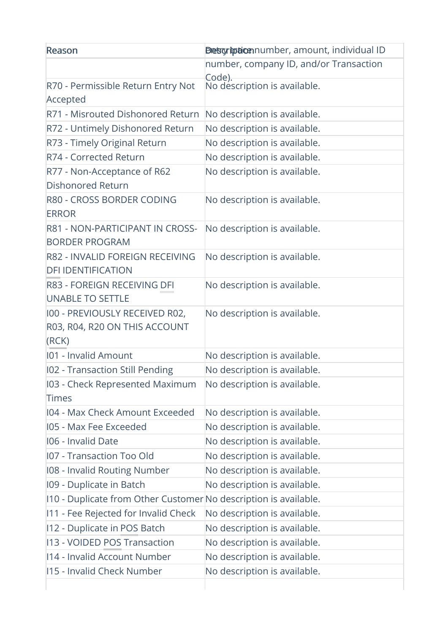| Reason                                                          | Detsgriptionnumber, amount, individual ID |
|-----------------------------------------------------------------|-------------------------------------------|
|                                                                 | number, company ID, and/or Transaction    |
| R70 - Permissible Return Entry Not                              | Code).<br>No déscription is available.    |
| Accepted                                                        |                                           |
| R71 - Misrouted Dishonored Return                               | No description is available.              |
| R72 - Untimely Dishonored Return                                | No description is available.              |
| R73 - Timely Original Return                                    | No description is available.              |
| R74 - Corrected Return                                          | No description is available.              |
| R77 - Non-Acceptance of R62                                     | No description is available.              |
| <b>Dishonored Return</b>                                        |                                           |
| R80 - CROSS BORDER CODING                                       | No description is available.              |
| <b>ERROR</b>                                                    |                                           |
| R81 - NON-PARTICIPANT IN CROSS-                                 | No description is available.              |
| <b>BORDER PROGRAM</b>                                           |                                           |
| R82 - INVALID FOREIGN RECEIVING                                 | No description is available.              |
| <b>DFI IDENTIFICATION</b>                                       |                                           |
| <b>R83 - FOREIGN RECEIVING DFI</b>                              | No description is available.              |
| <b>UNABLE TO SETTLE</b>                                         |                                           |
| 100 - PREVIOUSLY RECEIVED R02,                                  | No description is available.              |
| R03, R04, R20 ON THIS ACCOUNT<br>(RCK)                          |                                           |
| 101 - Invalid Amount                                            | No description is available.              |
| 102 - Transaction Still Pending                                 | No description is available.              |
| 103 - Check Represented Maximum                                 | No description is available.              |
| Times                                                           |                                           |
| 104 - Max Check Amount Exceeded                                 | No description is available.              |
| 105 - Max Fee Exceeded                                          | No description is available.              |
| 106 - Invalid Date                                              | No description is available.              |
| <b>I07 - Transaction Too Old</b>                                | No description is available.              |
| 108 - Invalid Routing Number                                    | No description is available.              |
| 109 - Duplicate in Batch                                        | No description is available.              |
| 10 - Duplicate from Other Customer No description is available. |                                           |
| 111 - Fee Rejected for Invalid Check                            | No description is available.              |
| 112 - Duplicate in POS Batch                                    | No description is available.              |
| 13 - VOIDED POS Transaction                                     | No description is available.              |
| 114 - Invalid Account Number                                    | No description is available.              |
| 115 - Invalid Check Number                                      | No description is available.              |